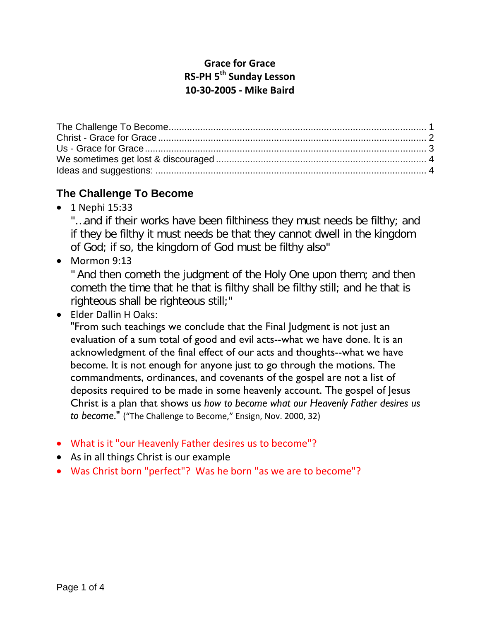## **Grace for Grace RS-PH 5th Sunday Lesson 10-30-2005 - Mike Baird**

# <span id="page-0-0"></span>**The Challenge To Become**

• 1 Nephi 15:33

"...and if their works have been filthiness they must needs be filthy; and if they be filthy it must needs be that they cannot dwell in the kingdom of God; if so, the kingdom of God must be filthy also"

• Mormon 9:13

" And then cometh the judgment of the Holy One upon them; and then cometh the time that he that is filthy shall be filthy still; and he that is righteous shall be righteous still;"

• Elder Dallin H Oaks:

"From such teachings we conclude that the Final Judgment is not just an evaluation of a sum total of good and evil acts--what we have done. It is an acknowledgment of the final effect of our acts and thoughts--what we have become. It is not enough for anyone just to go through the motions. The commandments, ordinances, and covenants of the gospel are not a list of deposits required to be made in some heavenly account. The gospel of Jesus Christ is a plan that shows us *how to become what our Heavenly Father desires us to become*." ("The Challenge to Become," Ensign, Nov. 2000, 32)

- What is it "our Heavenly Father desires us to become"?
- As in all things Christ is our example
- Was Christ born "perfect"? Was he born "as we are to become"?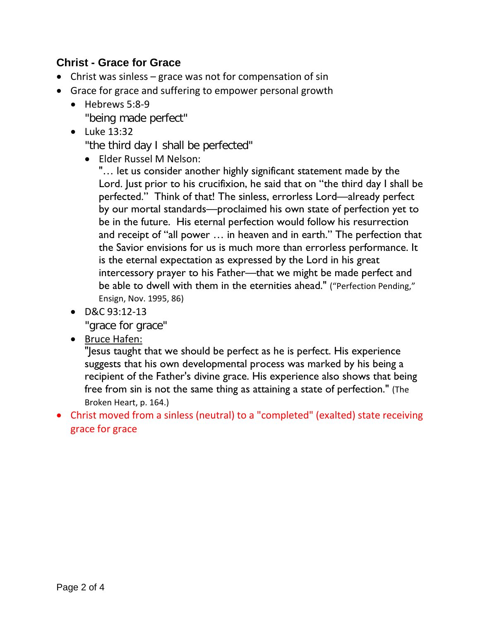## <span id="page-1-0"></span>**Christ - Grace for Grace**

- Christ was sinless grace was not for compensation of sin
- Grace for grace and suffering to empower personal growth
	- Hebrews 5:8-9 "being made perfect"
	- Luke 13:32

"the third day I shall be perfected"

• Elder Russel M Nelson:

"… let us consider another highly significant statement made by the Lord. Just prior to his crucifixion, he said that on "the third day I shall be perfected." Think of that! The sinless, errorless Lord—already perfect by our mortal standards—proclaimed his own state of perfection yet to be in the future. His eternal perfection would follow his resurrection and receipt of "all power … in heaven and in earth." The perfection that the Savior envisions for us is much more than errorless performance. It is the eternal expectation as expressed by the Lord in his great intercessory prayer to his Father—that we might be made perfect and be able to dwell with them in the eternities ahead." ("Perfection Pending," Ensign, Nov. 1995, 86)

• D&C 93:12-13

"grace for grace"

• Bruce Hafen:

"Jesus taught that we should be perfect as he is perfect. His experience suggests that his own developmental process was marked by his being a recipient of the Father's divine grace. His experience also shows that being free from sin is not the same thing as attaining a state of perfection." (The Broken Heart, p. 164.)

• Christ moved from a sinless (neutral) to a "completed" (exalted) state receiving grace for grace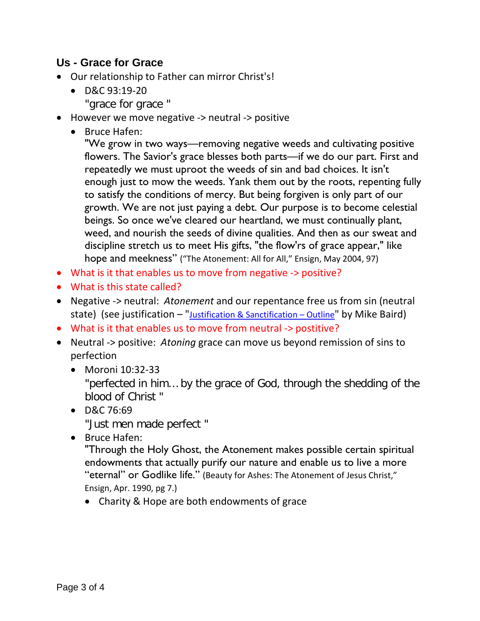#### <span id="page-2-0"></span>**Us - Grace for Grace**

- Our relationship to Father can mirror Christ's!
	- D&C 93:19-20
		- "grace for grace "
- However we move negative -> neutral -> positive
	- Bruce Hafen:

"We grow in two ways—removing negative weeds and cultivating positive flowers. The Savior's grace blesses both parts—if we do our part. First and repeatedly we must uproot the weeds of sin and bad choices. It isn't enough just to mow the weeds. Yank them out by the roots, repenting fully to satisfy the conditions of mercy. But being forgiven is only part of our growth. We are not just paying a debt. Our purpose is to become celestial beings. So once we've cleared our heartland, we must continually plant, weed, and nourish the seeds of divine qualities. And then as our sweat and discipline stretch us to meet His gifts, "the flow'rs of grace appear," like hope and meekness" ("The Atonement: All for All," Ensign, May 2004, 97)

- What is it that enables us to move from negative -> positive?
- What is this state called?
- Negative -> neutral: *Atonement* and our repentance free us from sin (neutral state) (see justification  $-$  "*Justification & Sanctification – Outline*" by Mike Baird)
- What is it that enables us to move from neutral -> postitive?
- Neutral -> positive: *Atoning* grace can move us beyond remission of sins to perfection
	- Moroni 10:32-33 "perfected in him… by the grace of God, through the shedding of the blood of Christ "
	- D&C 76:69 "Just men made perfect "
	- Bruce Hafen:

"Through the Holy Ghost, the Atonement makes possible certain spiritual endowments that actually purify our nature and enable us to live a more "eternal" or Godlike life." (Beauty for Ashes: The Atonement of Jesus Christ," Ensign, Apr. 1990, pg 7.)

• Charity & Hope are both endowments of grace